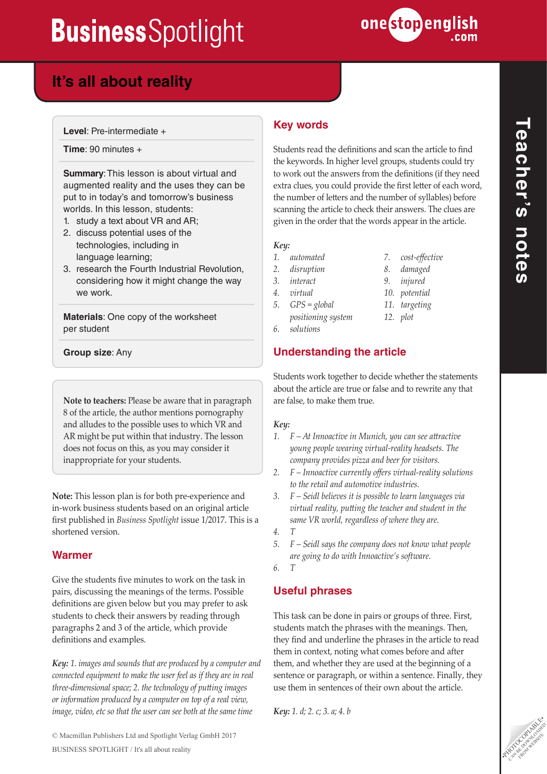

## It's all about reality

#### **Level**: Pre-intermediate +

**Time**: 90 minutes +

**Summary**: This lesson is about virtual and augmented reality and the uses they can be put to in today's and tomorrow's business worlds. In this lesson, students:

- 1. study a text about VR and AR;
- 2. discuss potential uses of the technologies, including in language learning;
- 3. research the Fourth Industrial Revolution, considering how it might change the way we work.

**Materials**: One copy of the worksheet per student

**Group size**: Any

**Note to teachers:** Please be aware that in paragraph 8 of the article, the author mentions pornography and alludes to the possible uses to which VR and AR might be put within that industry. The lesson does not focus on this, as you may consider it inappropriate for your students.

**Note:** This lesson plan is for both pre-experience and in-work business students based on an original article first published in *Business Spotlight* issue 1/2017. This is a shortened version.

#### **Warmer**

Give the students five minutes to work on the task in pairs, discussing the meanings of the terms. Possible definitions are given below but you may prefer to ask students to check their answers by reading through paragraphs 2 and 3 of the article, which provide definitions and examples.

*Key: 1. images and sounds that are produced by a computer and connected equipment to make the user feel as if they are in real three-dimensional space; 2. the technology of putting images or information produced by a computer on top of a real view, image, video, etc so that the user can see both at the same time*

#### **Key words**

Students read the definitions and scan the article to find the keywords. In higher level groups, students could try to work out the answers from the definitions (if they need extra clues, you could provide the first letter of each word, the number of letters and the number of syllables) before scanning the article to check their answers. The clues are given in the order that the words appear in the article.

> *7. cost-effective 8. damaged 9. injured 10. potential 11. targeting 12. plot*

#### *Key:*

- *1. automated*
- *2. disruption*
- *3. interact*
- *4. virtual*
- *5. GPS = global positioning system*
- *6. solutions*

#### **Understanding the article**

Students work together to decide whether the statements about the article are true or false and to rewrite any that are false, to make them true.

#### *Key:*

- *1. F At Innoactive in Munich, you can see attractive young people wearing virtual-reality headsets. The company provides pizza and beer for visitors.*
- *2. F Innoactive currently offers virtual-reality solutions to the retail and automotive industries.*
- *3. F Seidl believes it is possible to learn languages via virtual reality, putting the teacher and student in the same VR world, regardless of where they are.*
- *4. T*
- *5. F Seidl says the company does not know what people are going to do with Innoactive's software.*
- *6. T*

#### **Useful phrases**

This task can be done in pairs or groups of three. First, students match the phrases with the meanings. Then, they find and underline the phrases in the article to read them in context, noting what comes before and after them, and whether they are used at the beginning of a sentence or paragraph, or within a sentence. Finally, they use them in sentences of their own about the article.

*Key: 1. d; 2. c; 3. a; 4. b*

**Teacher's notes**

Teacher's notes

CAN BE DOWNLOAD FROM WEBSITE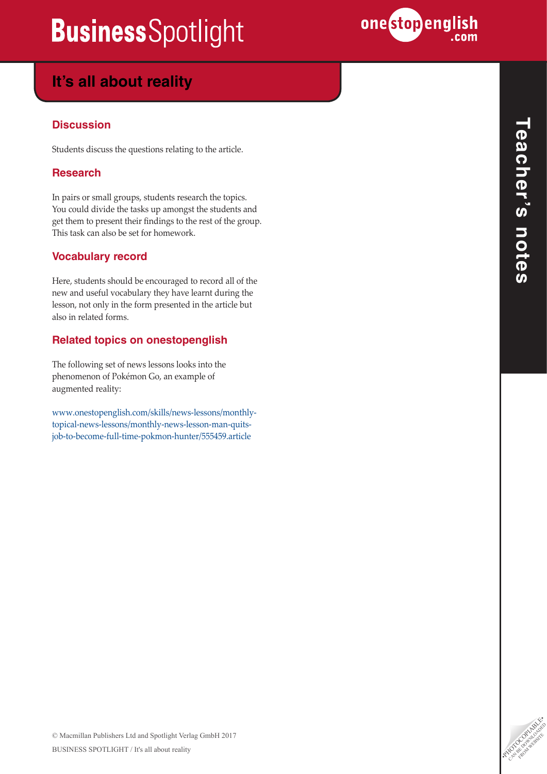

## It's all about reality

#### **Discussion**

Students discuss the questions relating to the article.

#### **Research**

In pairs or small groups, students research the topics. You could divide the tasks up amongst the students and get them to present their findings to the rest of the group. This task can also be set for homework.

#### **Vocabulary record**

Here, students should be encouraged to record all of the new and useful vocabulary they have learnt during the lesson, not only in the form presented in the article but also in related forms.

#### **Related topics on onestopenglish**

The following set of news lessons looks into the phenomenon of Pokémon Go, an example of augmented reality:

[www.onestopenglish.com/skills/news-lessons/monthly](http://www.onestopenglish.com/skills/news-lessons/monthly-topical-news-lessons/monthly-news-lesson-man-quits-job-to-become-full-time-pokmon-hunter/555459.article)[topical-news-lessons/monthly-news-lesson-man-quits](http://www.onestopenglish.com/skills/news-lessons/monthly-topical-news-lessons/monthly-news-lesson-man-quits-job-to-become-full-time-pokmon-hunter/555459.article)[job-to-become-full-time-pokmon-hunter/555459.article](http://www.onestopenglish.com/skills/news-lessons/monthly-topical-news-lessons/monthly-news-lesson-man-quits-job-to-become-full-time-pokmon-hunter/555459.article)

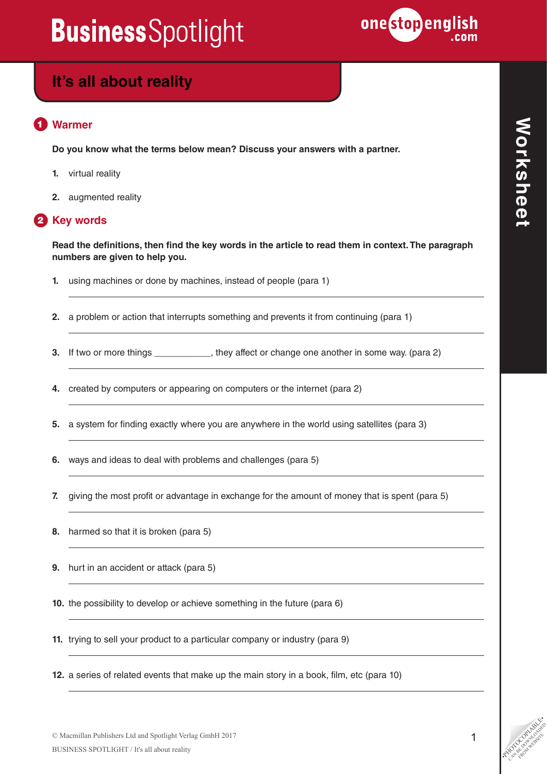

## **It's all about reality**

#### **Warmer** 1

**Do you know what the terms below mean? Discuss your answers with a partner.**

- **1.** virtual reality
- **2.** augmented reality

### **2** Key words

**Read the definitions, then find the key words in the article to read them in context. The paragraph numbers are given to help you.** 

- **1.** using machines or done by machines, instead of people (para 1)
- **2.** a problem or action that interrupts something and prevents it from continuing (para 1)
- **3.** If two or more things \_\_\_\_\_\_\_\_\_, they affect or change one another in some way. (para 2)
- **4.** created by computers or appearing on computers or the internet (para 2)
- **5.** a system for finding exactly where you are anywhere in the world using satellites (para 3)
- **6.** ways and ideas to deal with problems and challenges (para 5)
- **7.** giving the most profit or advantage in exchange for the amount of money that is spent (para 5)
- **8.** harmed so that it is broken (para 5)
- **9.** hurt in an accident or attack (para 5)
- **10.** the possibility to develop or achieve something in the future (para 6)
- **11.** trying to sell your product to a particular company or industry (para 9)
- **12.** a series of related events that make up the main story in a book, film, etc (para 10)

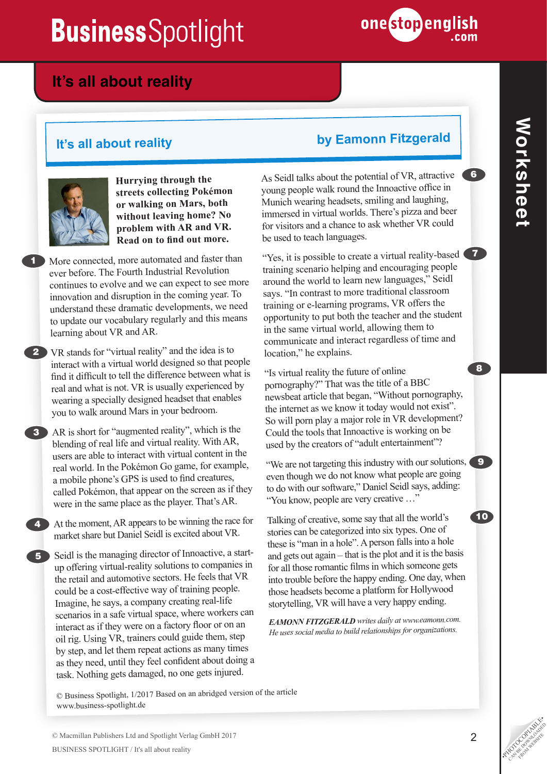

## **It's all about reality**



3

5

2

1

**Hurrying through the streets collecting Pokémon or walking on Mars, both without leaving home? No problem with AR and VR. Read on to find out more.**

- More connected, more automated and faster than ever before. The Fourth Industrial Revolution continues to evolve and we can expect to see more innovation and disruption in the coming year. To understand these dramatic developments, we nee<sup>d</sup> to update our vocabulary regularly and this means learning about VR and AR.
- VR stands for "virtual reality" and the idea is to interact with a virtual world designed so that people find it difficult to tell the difference between what is real and what is not. VR is usually experienced by wearing a specially designed headset that enables you to walk around Mars in your bedroom.
- AR is short for "augmented reality", which is the blending of real life and virtual reality. With AR, users are able to interact with virtual content in the real world. In the Pokémon Go game, for example, a mobile phone's GPS is used to find creatures, called Pokémon, that appear on the screen as if they were in the same place as the player. That's AR.
- At the moment, AR appears to be winning the race for 4 market share but Daniel Seidl is excited about VR.
	- Seidl is the managing director of Innoactive, a startup offering virtual-reality solutions to companies in the retail and automotive sectors. He feels that VR could be a cost-effective way of training people. Imagine, he says, a company creating real-life scenarios in a safe virtual space, where workers can interact as if they were on a factory floor or on an oil rig. Using VR, trainers could guide them, step by step, and let them repeat actions as many times as they need, until they feel confident about doing a task. Nothing gets damaged, no one gets injured.

# **It's all about reality by Eamonn Fitzgerald**

As Seidl talks about the potential of VR, attractive young people walk round the Innoactive office in Munich wearing headsets, smiling and laughing, immersed in virtual worlds. There's pizza and beer for visitors and a chance to ask whether VR could be used to teach languages.

"Yes, it is possible to create a virtual reality-based training scenario helping and encouraging people around the world to learn new languages," Seidl says. "In contrast to more traditional classroom training or e-learning programs, VR offers the opportunity to put both the teacher and the student in the same virtual world, allowing them to communicate and interact regardless of time and location," he explains.

"Is virtual reality the future of online pornography?" That was the title of a BBC newsbeat article that began, "Without pornography, the internet as we know it today would not exist". So will porn play a major role in VR development? Could the tools that Innoactive is working on be used by the creators of "adult entertainment"?

"We are not targeting this industry with our solutions, 9 even though we do not know what people are going to do with our software," Daniel Seidl says, adding: "You know, people are very creative …"

Talking of creative, some say that all the world's stories can be categorized into six types. One of these is "man in a hole". A person falls into a hole and gets out again – that is the plot and it is the basis for all those romantic films in which someone gets into trouble before the happy ending. One day, when those headsets become a platform for Hollywood storytelling, VR will have a very happy ending.

*EAMONN FITZGERALD writes daily at www.eamonn.com. He uses social media to build relationships for organizations.*

7

8

10

Worksheet **Worksheet**

www.business-spotlight.de

© Business Spotlight, 1/2017 Based on an abridged version of the article

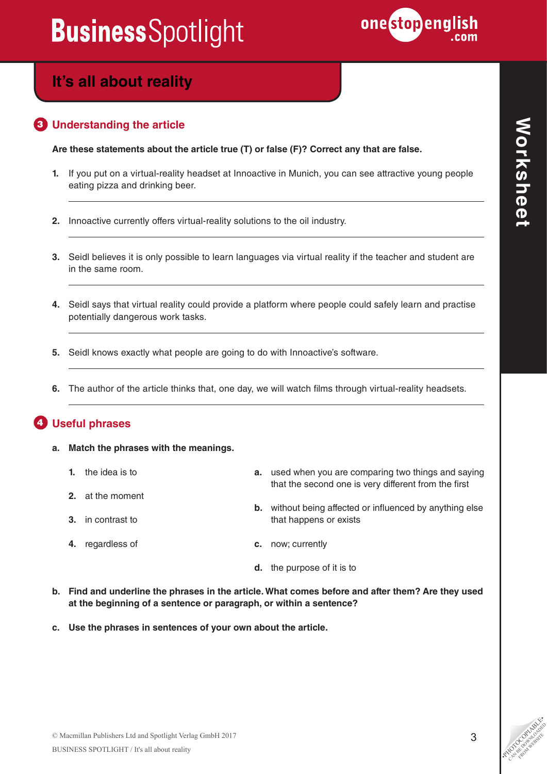

### **It's all about reality**

#### **Understanding the article**  3

**Are these statements about the article true (T) or false (F)? Correct any that are false.**

- **1.** If you put on a virtual-reality headset at Innoactive in Munich, you can see attractive young people eating pizza and drinking beer.
- **2.** Innoactive currently offers virtual-reality solutions to the oil industry.
- **3.** Seidl believes it is only possible to learn languages via virtual reality if the teacher and student are in the same room.
- **4.** Seidl says that virtual reality could provide a platform where people could safely learn and practise potentially dangerous work tasks.
- **5.** Seidl knows exactly what people are going to do with Innoactive's software.
- **6.** The author of the article thinks that, one day, we will watch films through virtual-reality headsets.

#### **Useful phrases** 4

- **a. Match the phrases with the meanings.**
	- **1.** the idea is to
	- **2.** at the moment

**3.** in contrast to

that the second one is very different from the first

**a.** used when you are comparing two things and saying

- **b.** without being affected or influenced by anything else that happens or exists
- **4.** regardless of **c.** now; currently
	- **d.** the purpose of it is to
- **b. Find and underline the phrases in the article. What comes before and after them? Are they used at the beginning of a sentence or paragraph, or within a sentence?**
- **c. Use the phrases in sentences of your own about the article.**

3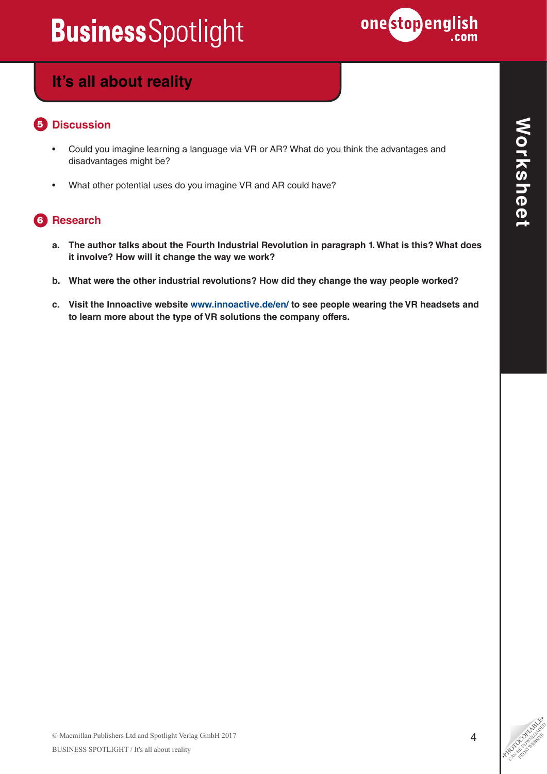

## **It's all about reality**

### **5** Discussion

- Could you imagine learning a language via VR or AR? What do you think the advantages and disadvantages might be?
- What other potential uses do you imagine VR and AR could have?

### **6** Research

- **a. The author talks about the Fourth Industrial Revolution in paragraph 1. What is this? What does it involve? How will it change the way we work?**
- **b. What were the other industrial revolutions? How did they change the way people worked?**
- **c. Visit the Innoactive website [www.innoactive.de/en/](http://www.innoactive.de/en/) to see people wearing the VR headsets and to learn more about the type of VR solutions the company offers.**